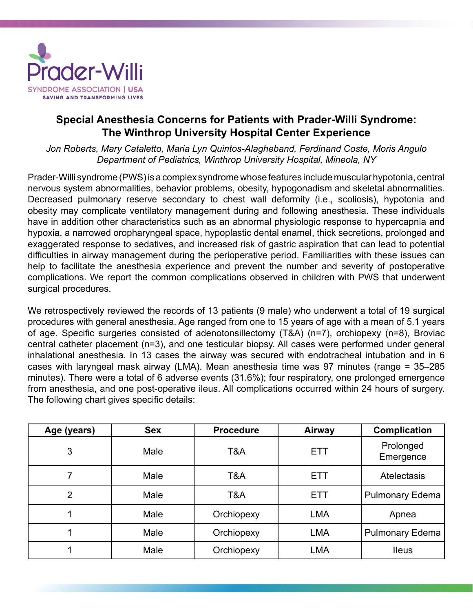

## **Special Anesthesia Concerns for Patients with Prader-Willi Syndrome: The Winthrop University Hospital Center Experience**

*Jon Roberts, Mary Cataletto, Maria Lyn Quintos-Alagheband, Ferdinand Coste, Moris Angulo Department of Pediatrics, Winthrop University Hospital, Mineola, NY*

Prader-Willi syndrome (PWS) is a complex syndrome whose features include muscular hypotonia, central nervous system abnormalities, behavior problems, obesity, hypogonadism and skeletal abnormalities. Decreased pulmonary reserve secondary to chest wall deformity (i.e., scoliosis), hypotonia and obesity may complicate ventilatory management during and following anesthesia. These individuals have in addition other characteristics such as an abnormal physiologic response to hypercapnia and hypoxia, a narrowed oropharyngeal space, hypoplastic dental enamel, thick secretions, prolonged and exaggerated response to sedatives, and increased risk of gastric aspiration that can lead to potential difficulties in airway management during the perioperative period. Familiarities with these issues can help to facilitate the anesthesia experience and prevent the number and severity of postoperative complications. We report the common complications observed in children with PWS that underwent surgical procedures.

We retrospectively reviewed the records of 13 patients (9 male) who underwent a total of 19 surgical procedures with general anesthesia. Age ranged from one to 15 years of age with a mean of 5.1 years of age. Specific surgeries consisted of adenotonsillectomy (T&A) (n=7), orchiopexy (n=8), Broviac central catheter placement (n=3), and one testicular biopsy. All cases were performed under general inhalational anesthesia. In 13 cases the airway was secured with endotracheal intubation and in 6 cases with laryngeal mask airway (LMA). Mean anesthesia time was 97 minutes (range = 35–285 minutes). There were a total of 6 adverse events (31.6%); four respiratory, one prolonged emergence from anesthesia, and one post-operative ileus. All complications occurred within 24 hours of surgery. The following chart gives specific details:

| Age (years)    | <b>Sex</b> | <b>Procedure</b> | <b>Airway</b> | <b>Complication</b>    |
|----------------|------------|------------------|---------------|------------------------|
| 3              | Male       | T&A              | <b>ETT</b>    | Prolonged<br>Emergence |
| 7              | Male       | T&A              | <b>ETT</b>    | <b>Atelectasis</b>     |
| $\overline{2}$ | Male       | T&A              | <b>ETT</b>    | <b>Pulmonary Edema</b> |
|                | Male       | Orchiopexy       | <b>LMA</b>    | Apnea                  |
|                | Male       | Orchiopexy       | <b>LMA</b>    | <b>Pulmonary Edema</b> |
|                | Male       | Orchiopexy       | <b>LMA</b>    | <b>Ileus</b>           |